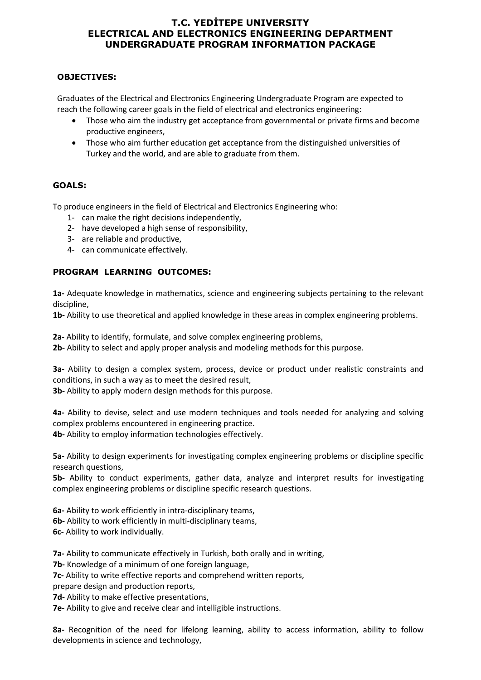# **T.C. YEDİTEPE UNIVERSITY ELECTRICAL AND ELECTRONICS ENGINEERING DEPARTMENT UNDERGRADUATE PROGRAM INFORMATION PACKAGE**

### **OBJECTIVES:**

Graduates of the Electrical and Electronics Engineering Undergraduate Program are expected to reach the following career goals in the field of electrical and electronics engineering:

- Those who aim the industry get acceptance from governmental or private firms and become productive engineers,
- Those who aim further education get acceptance from the distinguished universities of Turkey and the world, and are able to graduate from them.

# **GOALS:**

To produce engineers in the field of Electrical and Electronics Engineering who:

- 1- can make the right decisions independently,
- 2- have developed a high sense of responsibility,
- 3- are reliable and productive,
- 4- can communicate effectively.

# **PROGRAM LEARNING OUTCOMES:**

**1a-** Adequate knowledge in mathematics, science and engineering subjects pertaining to the relevant discipline,

**1b-** Ability to use theoretical and applied knowledge in these areas in complex engineering problems.

**2a-** Ability to identify, formulate, and solve complex engineering problems,

**2b-** Ability to select and apply proper analysis and modeling methods for this purpose.

**3a-** Ability to design a complex system, process, device or product under realistic constraints and conditions, in such a way as to meet the desired result,

**3b-** Ability to apply modern design methods for this purpose.

**4a-** Ability to devise, select and use modern techniques and tools needed for analyzing and solving complex problems encountered in engineering practice.

**4b-** Ability to employ information technologies effectively.

**5a-** Ability to design experiments for investigating complex engineering problems or discipline specific research questions,

**5b-** Ability to conduct experiments, gather data, analyze and interpret results for investigating complex engineering problems or discipline specific research questions.

**6a-** Ability to work efficiently in intra-disciplinary teams,

**6b-** Ability to work efficiently in multi-disciplinary teams,

**6c-** Ability to work individually.

**7a-** Ability to communicate effectively in Turkish, both orally and in writing,

**7b-** Knowledge of a minimum of one foreign language,

**7c-** Ability to write effective reports and comprehend written reports,

prepare design and production reports,

**7d-** Ability to make effective presentations,

**7e-** Ability to give and receive clear and intelligible instructions.

**8a-** Recognition of the need for lifelong learning, ability to access information, ability to follow developments in science and technology,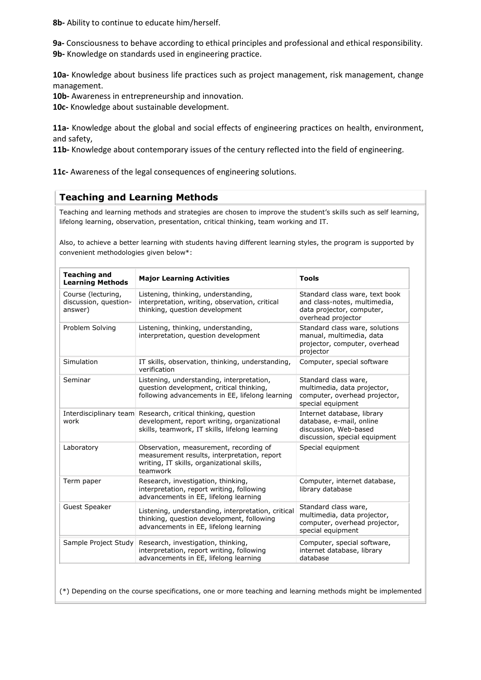**8b-** Ability to continue to educate him/herself.

**9a-** Consciousness to behave according to ethical principles and professional and ethical responsibility. **9b-** Knowledge on standards used in engineering practice.

**10a-** Knowledge about business life practices such as project management, risk management, change management.

**10b-** Awareness in entrepreneurship and innovation.

**10c-** Knowledge about sustainable development.

**11a-** Knowledge about the global and social effects of engineering practices on health, environment, and safety,

**11b-** Knowledge about contemporary issues of the century reflected into the field of engineering.

**11c-** Awareness of the legal consequences of engineering solutions.

# **Teaching and Learning Methods**

Teaching and learning methods and strategies are chosen to improve the student's skills such as self learning, lifelong learning, observation, presentation, critical thinking, team working and IT.

Also, to achieve a better learning with students having different learning styles, the program is supported by convenient methodologies given below\*:

| <b>Teaching and</b><br><b>Learning Methods</b>         | <b>Major Learning Activities</b>                                                                                                                              | Tools                                                                                                             |  |  |  |  |  |
|--------------------------------------------------------|---------------------------------------------------------------------------------------------------------------------------------------------------------------|-------------------------------------------------------------------------------------------------------------------|--|--|--|--|--|
| Course (lecturing,<br>discussion, question-<br>answer) | Listening, thinking, understanding,<br>interpretation, writing, observation, critical<br>thinking, question development                                       | Standard class ware, text book<br>and class-notes, multimedia,<br>data projector, computer,<br>overhead projector |  |  |  |  |  |
| Problem Solving                                        | Listening, thinking, understanding,<br>interpretation, question development                                                                                   | Standard class ware, solutions<br>manual, multimedia, data<br>projector, computer, overhead<br>projector          |  |  |  |  |  |
| Simulation                                             | IT skills, observation, thinking, understanding,<br>verification                                                                                              | Computer, special software                                                                                        |  |  |  |  |  |
| Seminar                                                | Listening, understanding, interpretation,<br>question development, critical thinking,<br>following advancements in EE, lifelong learning                      | Standard class ware,<br>multimedia, data projector,<br>computer, overhead projector,<br>special equipment         |  |  |  |  |  |
| work                                                   | Interdisciplinary team Research, critical thinking, question<br>development, report writing, organizational<br>skills, teamwork, IT skills, lifelong learning | Internet database, library<br>database, e-mail, online<br>discussion, Web-based<br>discussion, special equipment  |  |  |  |  |  |
| Laboratory                                             | Observation, measurement, recording of<br>measurement results, interpretation, report<br>writing, IT skills, organizational skills,<br>teamwork               | Special equipment                                                                                                 |  |  |  |  |  |
| Term paper                                             | Research, investigation, thinking,<br>interpretation, report writing, following<br>advancements in EE, lifelong learning                                      | Computer, internet database,<br>library database                                                                  |  |  |  |  |  |
| Guest Speaker                                          | Listening, understanding, interpretation, critical<br>thinking, question development, following<br>advancements in EE, lifelong learning                      | Standard class ware,<br>multimedia, data projector,<br>computer, overhead projector,<br>special equipment         |  |  |  |  |  |
| Sample Project Study                                   | Research, investigation, thinking,<br>interpretation, report writing, following<br>advancements in EE, lifelong learning                                      | Computer, special software,<br>internet database, library<br>database                                             |  |  |  |  |  |

(\*) Depending on the course specifications, one or more teaching and learning methods might be implemented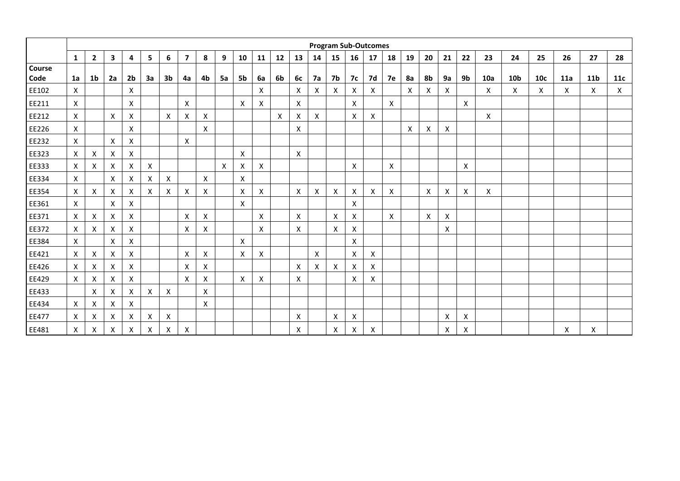|        | <b>Program Sub-Outcomes</b> |                           |              |                    |    |                    |                |    |    |                |    |    |    |    |    |           |    |    |                           |    |                    |    |            |                 |     |     |             |            |
|--------|-----------------------------|---------------------------|--------------|--------------------|----|--------------------|----------------|----|----|----------------|----|----|----|----|----|-----------|----|----|---------------------------|----|--------------------|----|------------|-----------------|-----|-----|-------------|------------|
|        | $\mathbf{1}$                | $\overline{\mathbf{2}}$   | $\mathbf{3}$ | 4                  | 5  | 6                  | $\overline{7}$ | 8  | 9  | 10             | 11 | 12 | 13 | 14 | 15 | 16        | 17 | 18 | 19                        | 20 | 21                 | 22 | 23         | 24              | 25  | 26  | 27          | 28         |
| Course |                             |                           |              |                    |    |                    |                |    |    |                |    |    |    |    |    |           |    |    |                           |    |                    |    |            |                 |     |     |             |            |
| Code   | 1a                          | 1 <sub>b</sub>            | 2a           | 2 <sub>b</sub>     | За | 3b                 | 4a             | 4b | 5a | 5b             | 6а | 6b | 6с | 7a | 7b | <b>7c</b> | 7d | 7e | 8a                        | 8b | <b>9a</b>          | 9b | <b>10a</b> | 10 <sub>b</sub> | 10c | 11a | 11 <b>b</b> | <b>11c</b> |
| EE102  | $\boldsymbol{\mathsf{X}}$   |                           |              | X                  |    |                    |                |    |    |                | X  |    | X  | X. | Χ  | X         | X  |    | $\boldsymbol{\mathsf{X}}$ | х  | X                  |    | X          | X               | X   | X   | X           | X          |
| EE211  | X                           |                           |              | X                  |    |                    | X              |    |    | X              | X  |    | X  |    |    | X         |    | X  |                           |    |                    | X  |            |                 |     |     |             |            |
| EE212  | X                           |                           | X            | Χ                  |    | X                  | X              | Χ  |    |                |    | X  | X  | X  |    | X         | Χ  |    |                           |    |                    |    | X          |                 |     |     |             |            |
| EE226  | X                           |                           |              | Χ                  |    |                    |                | Χ  |    |                |    |    | X  |    |    |           |    |    | $\mathsf{x}$              | х  | X                  |    |            |                 |     |     |             |            |
| EE232  | $\boldsymbol{\mathsf{X}}$   |                           | X            | X                  |    |                    | X              |    |    |                |    |    |    |    |    |           |    |    |                           |    |                    |    |            |                 |     |     |             |            |
| EE323  | $\boldsymbol{\mathsf{X}}$   | X                         | X            | X                  |    |                    |                |    |    | X              |    |    | X  |    |    |           |    |    |                           |    |                    |    |            |                 |     |     |             |            |
| EE333  | $\boldsymbol{\mathsf{X}}$   | Χ                         | X            | Χ                  | X  |                    |                |    | X  | X              | X  |    |    |    |    | X         |    | X  |                           |    |                    | X  |            |                 |     |     |             |            |
| EE334  | $\pmb{\times}$              |                           | X            | $\pmb{\mathsf{X}}$ | X  | $\pmb{\mathsf{X}}$ |                | X  |    | $\pmb{\times}$ |    |    |    |    |    |           |    |    |                           |    |                    |    |            |                 |     |     |             |            |
| EE354  | $\pmb{\times}$              | X                         | X            | Χ                  | X  | Χ                  | Χ              | Χ  |    | X              | X  |    | Χ  | X  | Χ  | X         | X  | X  |                           | X  | x                  | X  | X          |                 |     |     |             |            |
| EE361  | X                           |                           | Χ            | Χ                  |    |                    |                |    |    | Χ              |    |    |    |    |    | X         |    |    |                           |    |                    |    |            |                 |     |     |             |            |
| EE371  | X                           | X                         | Χ            | X                  |    |                    | Χ              | Х  |    |                | X  |    | X  |    | Χ  | X         |    | X  |                           | х  | X                  |    |            |                 |     |     |             |            |
| EE372  | $\boldsymbol{\mathsf{X}}$   | X                         | X            | X                  |    |                    | X              | X  |    |                | X  |    | X  |    | X  | X         |    |    |                           |    | $\pmb{\mathsf{X}}$ |    |            |                 |     |     |             |            |
| EE384  | $\boldsymbol{\mathsf{X}}$   |                           | X            | Χ                  |    |                    |                |    |    | X              |    |    |    |    |    | X         |    |    |                           |    |                    |    |            |                 |     |     |             |            |
| EE421  | $\boldsymbol{\mathsf{X}}$   | X                         | Χ            | Χ                  |    |                    | X              | X  |    | X              | X  |    |    | X  |    | X         | X  |    |                           |    |                    |    |            |                 |     |     |             |            |
| EE426  | X                           | X                         | X            | X                  |    |                    | X              | X  |    |                |    |    | X  | X  | X  | X         | X  |    |                           |    |                    |    |            |                 |     |     |             |            |
| EE429  | X                           | X                         | Χ            | X                  |    |                    | X              | X  |    | X              | X  |    | X  |    |    | X         | Χ  |    |                           |    |                    |    |            |                 |     |     |             |            |
| EE433  |                             | X                         | Χ            | Χ                  | X  | $\times$           |                | X  |    |                |    |    |    |    |    |           |    |    |                           |    |                    |    |            |                 |     |     |             |            |
| EE434  | X                           | $\boldsymbol{\mathsf{x}}$ | X            | X                  |    |                    |                | X  |    |                |    |    |    |    |    |           |    |    |                           |    |                    |    |            |                 |     |     |             |            |
| EE477  | X                           | Χ                         | Χ            | Χ                  | Χ  | х                  |                |    |    |                |    |    | X  |    | Χ  | Χ         |    |    |                           |    | X                  | Χ  |            |                 |     |     |             |            |
| EE481  | $\pmb{\times}$              | X                         | X            | Χ                  | X  | X                  | X              |    |    |                |    |    | Χ  |    | X  | X         | X  |    |                           |    | X                  | X  |            |                 |     | Χ   | X           |            |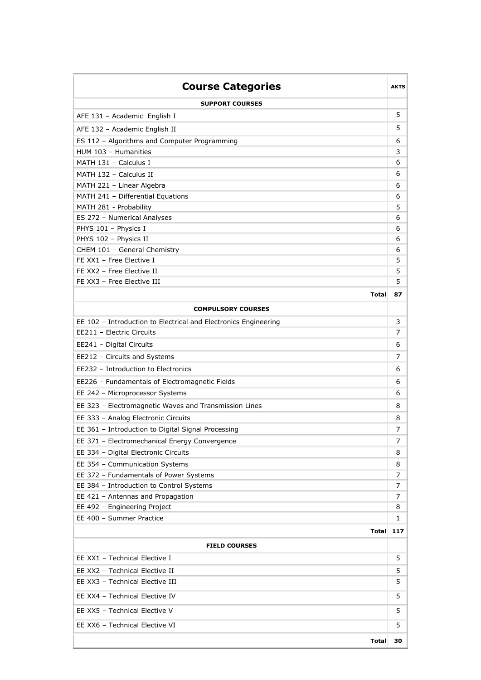| <b>Course Categories</b>                                        |           |  |  |  |  |  |
|-----------------------------------------------------------------|-----------|--|--|--|--|--|
| <b>SUPPORT COURSES</b>                                          |           |  |  |  |  |  |
| AFE 131 - Academic English I                                    | 5         |  |  |  |  |  |
| AFE 132 - Academic English II                                   | 5         |  |  |  |  |  |
| ES 112 - Algorithms and Computer Programming                    | 6         |  |  |  |  |  |
| HUM 103 - Humanities                                            | 3         |  |  |  |  |  |
| MATH 131 - Calculus I                                           | 6         |  |  |  |  |  |
| MATH 132 - Calculus II                                          | 6         |  |  |  |  |  |
| MATH 221 - Linear Algebra                                       | 6         |  |  |  |  |  |
| MATH 241 - Differential Equations                               | 6         |  |  |  |  |  |
| MATH 281 - Probability                                          | 5         |  |  |  |  |  |
| ES 272 - Numerical Analyses                                     | 6         |  |  |  |  |  |
| PHYS 101 - Physics I                                            | 6         |  |  |  |  |  |
| PHYS 102 - Physics II                                           | 6         |  |  |  |  |  |
| CHEM 101 - General Chemistry                                    | 6         |  |  |  |  |  |
| FE XX1 - Free Elective I                                        | 5         |  |  |  |  |  |
| FE XX2 - Free Elective II                                       | 5         |  |  |  |  |  |
| FE XX3 - Free Elective III                                      | 5         |  |  |  |  |  |
| <b>Total</b>                                                    | 87        |  |  |  |  |  |
| <b>COMPULSORY COURSES</b>                                       |           |  |  |  |  |  |
| EE 102 - Introduction to Electrical and Electronics Engineering | 3         |  |  |  |  |  |
| EE211 - Electric Circuits                                       | 7         |  |  |  |  |  |
| EE241 - Digital Circuits                                        |           |  |  |  |  |  |
| EE212 - Circuits and Systems                                    |           |  |  |  |  |  |
| EE232 - Introduction to Electronics                             |           |  |  |  |  |  |
| EE226 - Fundamentals of Electromagnetic Fields                  |           |  |  |  |  |  |
| EE 242 - Microprocessor Systems                                 | 6         |  |  |  |  |  |
| EE 323 - Electromagnetic Waves and Transmission Lines           | 8         |  |  |  |  |  |
| EE 333 - Analog Electronic Circuits                             | 8         |  |  |  |  |  |
| EE 361 - Introduction to Digital Signal Processing              | 7         |  |  |  |  |  |
| EE 371 - Electromechanical Energy Convergence                   | 7         |  |  |  |  |  |
| EE 334 - Digital Electronic Circuits                            | 8         |  |  |  |  |  |
| EE 354 - Communication Systems                                  | 8         |  |  |  |  |  |
| EE 372 - Fundamentals of Power Systems                          | 7         |  |  |  |  |  |
| EE 384 - Introduction to Control Systems                        | 7         |  |  |  |  |  |
| EE 421 - Antennas and Propagation                               | 7         |  |  |  |  |  |
| EE 492 - Engineering Project                                    | 8         |  |  |  |  |  |
| EE 400 - Summer Practice                                        | 1         |  |  |  |  |  |
|                                                                 | Total 117 |  |  |  |  |  |
| <b>FIELD COURSES</b>                                            |           |  |  |  |  |  |
| EE XX1 - Technical Elective I                                   | 5         |  |  |  |  |  |
|                                                                 |           |  |  |  |  |  |
| EE XX2 - Technical Elective II                                  | 5         |  |  |  |  |  |
| EE XX3 - Technical Elective III                                 | 5         |  |  |  |  |  |
| EE XX4 - Technical Elective IV                                  | 5         |  |  |  |  |  |
| EE XX5 - Technical Elective V                                   | 5         |  |  |  |  |  |
| EE XX6 - Technical Elective VI                                  | 5         |  |  |  |  |  |
| Total                                                           | 30        |  |  |  |  |  |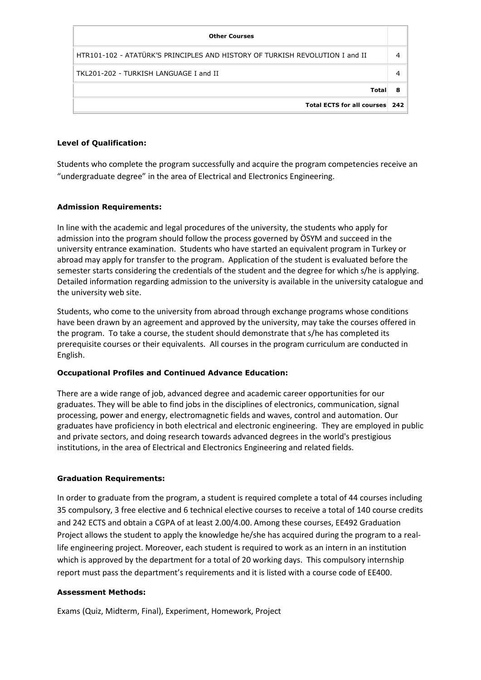| <b>Other Courses</b>                                                         |   |
|------------------------------------------------------------------------------|---|
| HTR101-102 - ATATÜRK'S PRINCIPLES AND HISTORY OF TURKISH REVOLUTION I and II |   |
| TKL201-202 - TURKISH LANGUAGE I and II                                       |   |
| Total                                                                        | 8 |
| Total ECTS for all courses 242                                               |   |

### **Level of Qualification:**

Students who complete the program successfully and acquire the program competencies receive an "undergraduate degree" in the area of Electrical and Electronics Engineering.

#### **Admission Requirements:**

In line with the academic and legal procedures of the university, the students who apply for admission into the program should follow the process governed by ÖSYM and succeed in the university entrance examination. Students who have started an equivalent program in Turkey or abroad may apply for transfer to the program. Application of the student is evaluated before the semester starts considering the credentials of the student and the degree for which s/he is applying. Detailed information regarding admission to the university is available in the university catalogue and the university web site.

Students, who come to the university from abroad through exchange programs whose conditions have been drawn by an agreement and approved by the university, may take the courses offered in the program. To take a course, the student should demonstrate that s/he has completed its prerequisite courses or their equivalents. All courses in the program curriculum are conducted in English.

#### **Occupational Profiles and Continued Advance Education:**

There are a wide range of job, advanced degree and academic career opportunities for our graduates. They will be able to find jobs in the disciplines of electronics, communication, signal processing, power and energy, electromagnetic fields and waves, control and automation. Our graduates have proficiency in both electrical and electronic engineering. They are employed in public and private sectors, and doing research towards advanced degrees in the world's prestigious institutions, in the area of Electrical and Electronics Engineering and related fields.

# **Graduation Requirements:**

In order to graduate from the program, a student is required complete a total of 44 courses including 35 compulsory, 3 free elective and 6 technical elective courses to receive a total of 140 course credits and 242 ECTS and obtain a CGPA of at least 2.00/4.00. Among these courses, EE492 Graduation Project allows the student to apply the knowledge he/she has acquired during the program to a reallife engineering project. Moreover, each student is required to work as an intern in an institution which is approved by the department for a total of 20 working days. This compulsory internship report must pass the department's requirements and it is listed with a course code of EE400.

#### **Assessment Methods:**

Exams (Quiz, Midterm, Final), Experiment, Homework, Project